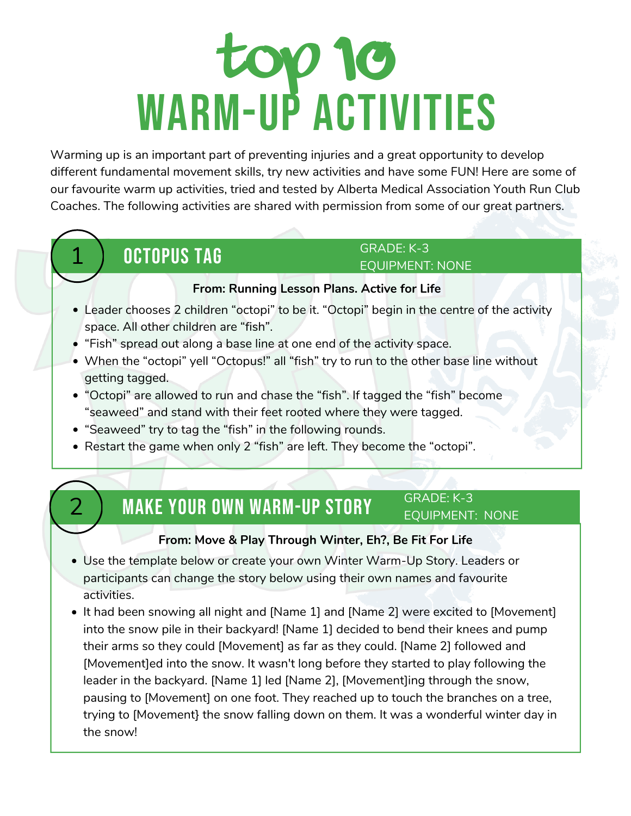# top 10 WARM-UP ACTIVITIES

different fundamental movement skills, try new activities and have some FUN! Here are some of Warming up is an important part of preventing injuries and a great opportunity to develop our favourite warm up activities, tried and tested by Alberta Medical Association Youth Run Club Coaches. The following activities are shared with permission from some of our great partners.

### **OCTOPUS TAG**

#### GRADE: K-3 EQUIPMENT: NONE

### **From: [Running](https://activeforlife.com/content/uploads/2014/01/LP_Run_2.2_octopus.pdf) Lesson Plans. Active for Life**

- Leader chooses 2 children "octopi" to be it. "Octopi" begin in the centre of the activity space. All other children are "fish".
- "Fish" spread out along a base line at one end of the activity space.
- When the "octopi" yell "Octopus!" all "fish" try to run to the other base line without getting tagged.
- "Octopi" are allowed to run and chase the "fish". If tagged the "fish" become "seaweed" and stand with their feet rooted where they were tagged.
- "Seaweed" try to tag the "fish" in the following rounds.
- Restart the game when only 2 "fish" are left. They become the "octopi".

#### **MAKE YOUR OWN WARM-UP STORY** GRADE: K-3 EQUIPMENT: NONE

### **From: Move & Play [Through](http://befitforlife.ca/resources/winter) Winter, Eh?, Be Fit For Life**

- Use the template below or create your own Winter Warm-Up Story. Leaders or participants can change the story below using their own names and favourite activities.
- It had been snowing all night and [Name 1] and [Name 2] were excited to [Movement] into the snow pile in their backyard! [Name 1] decided to bend their knees and pump their arms so they could [Movement] as far as they could. [Name 2] followed and [Movement]ed into the snow. It wasn't long before they started to play following the leader in the backyard. [Name 1] led [Name 2], [Movement]ing through the snow, pausing to [Movement] on one foot. They reached up to touch the branches on a tree, trying to [Movement} the snow falling down on them. It was a wonderful winter day in the snow!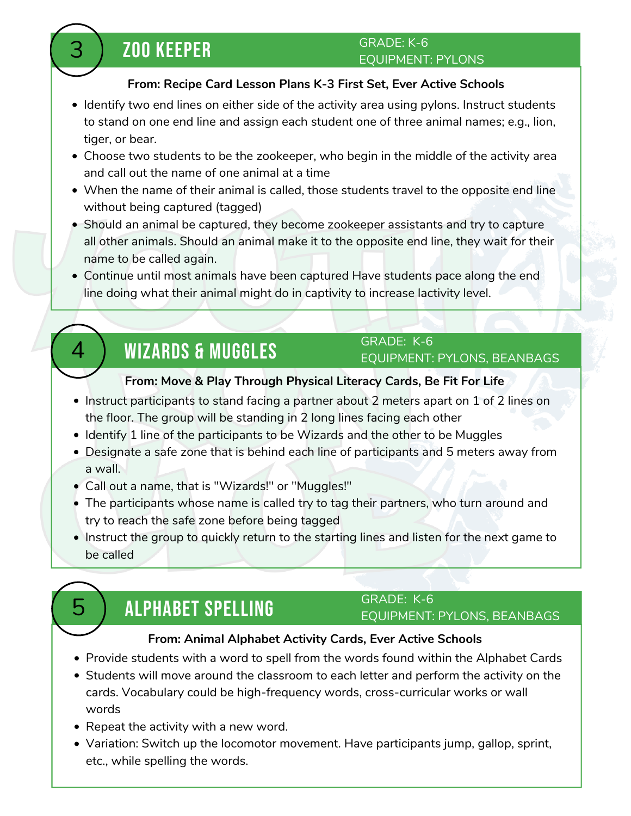## 3 ZOO KEEPER

#### GRADE: K-6 EQUIPMENT: PYLONS

### **From: Recipe Card Lesson Plans K-3 First Set, Ever Active [Schools](https://everactive.org/product/recipe-card-lesson-plans-k-3/)**

- Identify two end lines on either side of the activity area using pylons. Instruct students to stand on one end line and assign each student one of three animal names; e.g., lion, tiger, or bear.
- Choose two students to be the zookeeper, who begin in the middle of the activity area and call out the name of one animal at a time
- When the name of their animal is called, those students travel to the opposite end line without being captured (tagged)
- Should an animal be captured, they become zookeeper assistants and try to capture all other animals. Should an animal make it to the opposite end line, they wait for their name to be called again.
- Continue until most animals have been captured Have students pace along the end line doing what their animal might do in captivity to increase lactivity level.

### **WIZARDS & MUGGLES**

### GRADE: K-6 EQUIPMENT: PYLONS, BEANBAGS

### **From: Move & Play [Through](http://befitforlife.ca/resources/move-play-through-physical-literacy) Physical Literacy Cards, Be Fit For Life**

- Instruct participants to stand facing a partner about 2 meters apart on 1 of 2 lines on the floor. The group will be standing in 2 long lines facing each other
- Identify 1 line of the participants to be Wizards and the other to be Muggles
- Designate a safe zone that is behind each line of participants and 5 meters away from a wall.
- Call out a name, that is "Wizards!" or "Muggles!"
- The participants whose name is called try to tag their partners, who turn around and try to reach the safe zone before being tagged
- Instruct the group to quickly return to the starting lines and listen for the next game to be called

## 5 ALPHABET SPELLING

### GRADE: K-6

### EQUIPMENT: PYLONS, BEANBAGS

### **From: Animal [Alphabet](https://everactive.org/product/animal-alphabet/) Activity Cards, Ever Active Schools**

- Provide students with a word to spell from the words found within the Alphabet Cards
- Students will move around the classroom to each letter and perform the activity on the cards. Vocabulary could be high-frequency words, cross-curricular works or wall words
- Repeat the activity with a new word.
- Variation: Switch up the locomotor movement. Have participants jump, gallop, sprint, etc., while spelling the words.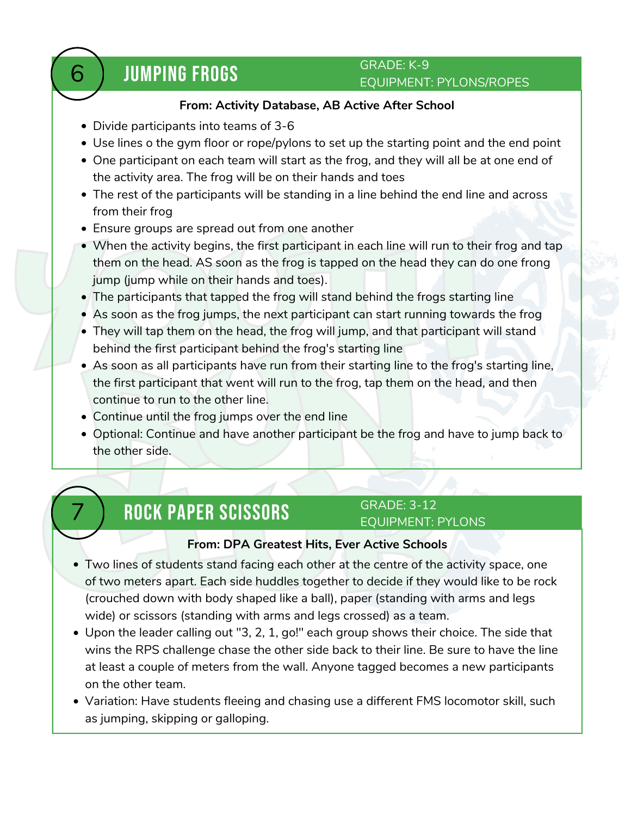### **JUMPING FROGS**

### GRADE: K-9 EQUIPMENT: PYLONS/ROPES

#### **From: Activity [Database,](https://abactiveafterschool.ca/activities/) AB Active After School**

- Divide participants into teams of 3-6
- Use lines o the gym floor or rope/pylons to set up the starting point and the end point
- One participant on each team will start as the frog, and they will all be at one end of the activity area. The frog will be on their hands and toes
- The rest of the participants will be standing in a line behind the end line and across from their frog
- Ensure groups are spread out from one another
- When the activity begins, the first participant in each line will run to their frog and tap them on the head. AS soon as the frog is tapped on the head they can do one frong jump (jump while on their hands and toes).
- The participants that tapped the frog will stand behind the frogs starting line
- As soon as the frog jumps, the next participant can start running towards the frog
- They will tap them on the head, the frog will jump, and that participant will stand behind the first participant behind the frog's starting line
- As soon as all participants have run from their starting line to the frog's starting line, the first participant that went will run to the frog, tap them on the head, and then continue to run to the other line.
- Continue until the frog jumps over the end line
- Optional: Continue and have another participant be the frog and have to jump back to the other side.

### 7 ROCK PAPER SCISSORS

#### GRADE: 3-12 EQUIPMENT: PYLONS

### **From: DPA [Greatest](https://everactive.org/product/dpa-greatest-hits/) Hits, Ever Active Schools**

- Two lines of students stand facing each other at the centre of the activity space, one of two meters apart. Each side huddles together to decide if they would like to be rock (crouched down with body shaped like a ball), paper (standing with arms and legs wide) or scissors (standing with arms and legs crossed) as a team.
- Upon the leader calling out "3, 2, 1, go!" each group shows their choice. The side that wins the RPS challenge chase the other side back to their line. Be sure to have the line at least a couple of meters from the wall. Anyone tagged becomes a new participants on the other team.
- Variation: Have students fleeing and chasing use a different FMS locomotor skill, such as jumping, skipping or galloping.